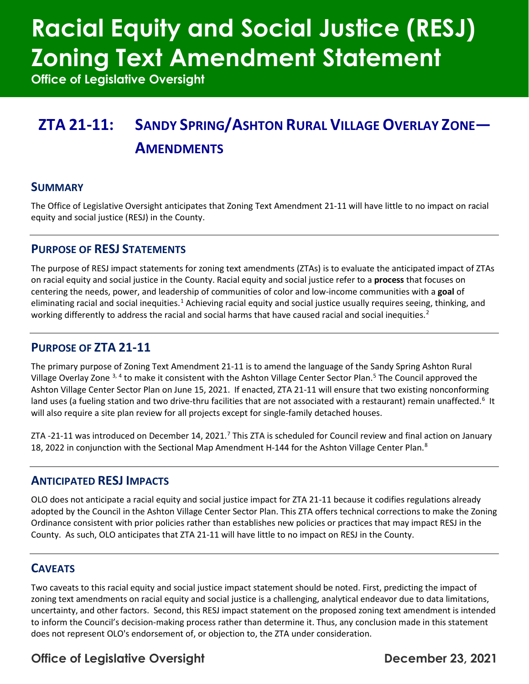# **Racial Equity and Social Justice (RESJ) Zoning Text Amendment Statement**

**Office of Legislative Oversight**

## **ZTA 21-11: SANDY SPRING/ASHTON RURAL VILLAGE OVERLAY ZONE— AMENDMENTS**

#### **SUMMARY**

The Office of Legislative Oversight anticipates that Zoning Text Amendment 21-11 will have little to no impact on racial equity and social justice (RESJ) in the County.

#### **PURPOSE OF RESJ STATEMENTS**

The purpose of RESJ impact statements for zoning text amendments (ZTAs) is to evaluate the anticipated impact of ZTAs on racial equity and social justice in the County. Racial equity and social justice refer to a **process** that focuses on centering the needs, power, and leadership of communities of color and low-income communities with a **goal** of eliminating racial and social inequities.<sup>[1](#page-1-0)</sup> Achieving racial equity and social justice usually requires seeing, thinking, and working differently to address the racial and social harms that have caused racial and social inequities.<sup>[2](#page-1-1)</sup>

#### **PURPOSE OF ZTA 21-11**

The primary purpose of Zoning Text Amendment 21-11 is to amend the language of the Sandy Spring Ashton Rural Village Overlay Zone <sup>[3,](#page-1-2) [4](#page-1-3)</sup> to make it consistent with the Ashton Village Center Sector Plan.<sup>[5](#page-1-4)</sup> The Council approved the Ashton Village Center Sector Plan on June 15, 2021. If enacted, ZTA 21-11 will ensure that two existing nonconforming land uses (a fueling station and two drive-thru facilities that are not associated with a restaurant) remain unaffected.<sup>[6](#page-1-5)</sup> It will also require a site plan review for all projects except for single-family detached houses.

ZTA -21-11 was introduced on December 14, 2021.<sup>[7](#page-1-6)</sup> This ZTA is scheduled for Council review and final action on January 1[8](#page-1-7), 2022 in conjunction with the Sectional Map Amendment H-144 for the Ashton Village Center Plan.<sup>8</sup>

#### **ANTICIPATED RESJ IMPACTS**

OLO does not anticipate a racial equity and social justice impact for ZTA 21-11 because it codifies regulations already adopted by the Council in the Ashton Village Center Sector Plan. This ZTA offers technical corrections to make the Zoning Ordinance consistent with prior policies rather than establishes new policies or practices that may impact RESJ in the County. As such, OLO anticipates that ZTA 21-11 will have little to no impact on RESJ in the County.

#### **CAVEATS**

Two caveats to this racial equity and social justice impact statement should be noted. First, predicting the impact of zoning text amendments on racial equity and social justice is a challenging, analytical endeavor due to data limitations, uncertainty, and other factors. Second, this RESJ impact statement on the proposed zoning text amendment is intended to inform the Council's decision-making process rather than determine it. Thus, any conclusion made in this statement does not represent OLO's endorsement of, or objection to, the ZTA under consideration.

### Office of Legislative Oversight **December 23, 2021**